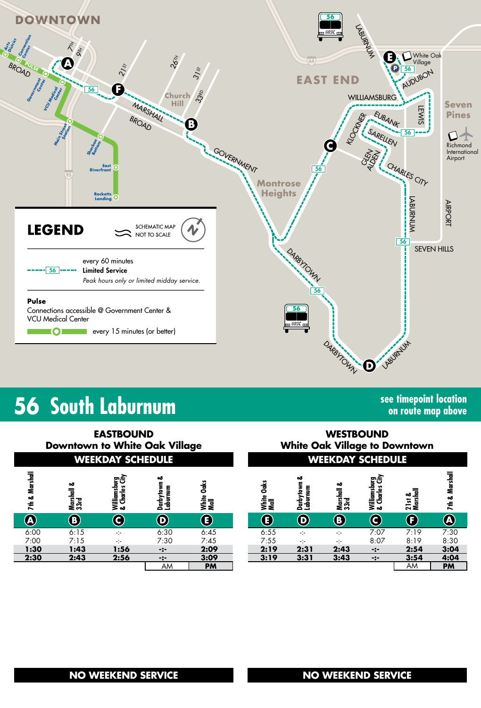

## **56 South Laburnum see timepoint location**

**on route map above**

| <b>EASTBOUND</b><br><b>Downtown to White Oak Village</b><br><b>WEEKDAY SCHEDULE</b> |                       |                                |                            |                              | <b>WESTBOUND</b><br><b>White Oak Village to Downtown</b><br><b>WEEKDAY SCHEDULE</b> |                            |                            |                                |                              |                   |
|-------------------------------------------------------------------------------------|-----------------------|--------------------------------|----------------------------|------------------------------|-------------------------------------------------------------------------------------|----------------------------|----------------------------|--------------------------------|------------------------------|-------------------|
| 7th & Marshall                                                                      | ఱ<br>Marshall<br>33rd | Williamsburg<br>& Charles City | ఱ<br>Darbytown<br>Laburnum | <b>Jaks</b><br>White<br>Mall | Oaks<br>White<br>Mall                                                               | ఱ<br>Darbytown<br>Laburnum | ఱ<br>Marshall<br>33rd      | Williamsburg<br>& Charles City | ╤<br>ఱ<br>튻<br>21st<br>Marsl | Marshall<br>7th & |
| <b>A</b>                                                                            | $\bf{(B)}$            | C                              | $\boldsymbol{\Theta}$      | E)                           | Œ,                                                                                  | $\left(\mathbf{D}\right)$  | $\left( \mathbf{B}\right)$ | C)                             | $\bf (F)$                    | <b>A</b>          |
| 6:00                                                                                | 6:15                  | ÷                              | 6:30                       | 6:45                         | 6:55                                                                                | ÷                          | ÷                          | 7:07                           | 7:19                         | 7:30              |
| 7:00                                                                                | 7:15                  | ÷                              | 7:30                       | 7:45                         | 7:55                                                                                | -:-                        | -:-                        | 8:07                           | 8:19                         | 8:30              |
| 1:30                                                                                | 1:43                  | 1:56                           | $-:-$                      | 2:09                         | 2:19                                                                                | 2:31                       | 2:43                       | $-2-$                          | 2:54                         | 3:04              |
| 2:30                                                                                | 2:43                  | 2:56                           | $-2-$                      | 3:09                         | 3:19                                                                                | 3:31                       | 3:43                       | $-2-$                          | 3:54                         | 4:04              |
|                                                                                     |                       |                                | AM                         | <b>PM</b>                    |                                                                                     |                            |                            |                                | AM                           | <b>PM</b>         |